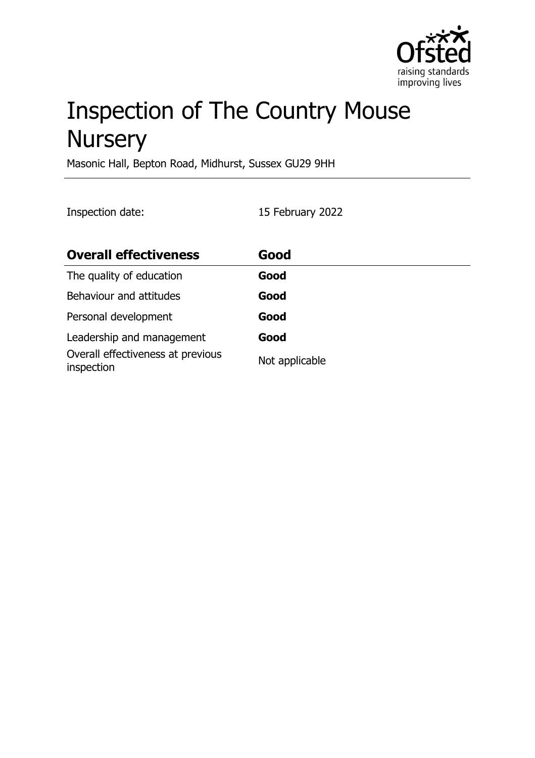

# Inspection of The Country Mouse **Nursery**

Masonic Hall, Bepton Road, Midhurst, Sussex GU29 9HH

Inspection date: 15 February 2022

| <b>Overall effectiveness</b>                    | Good           |
|-------------------------------------------------|----------------|
| The quality of education                        | Good           |
| Behaviour and attitudes                         | Good           |
| Personal development                            | Good           |
| Leadership and management                       | Good           |
| Overall effectiveness at previous<br>inspection | Not applicable |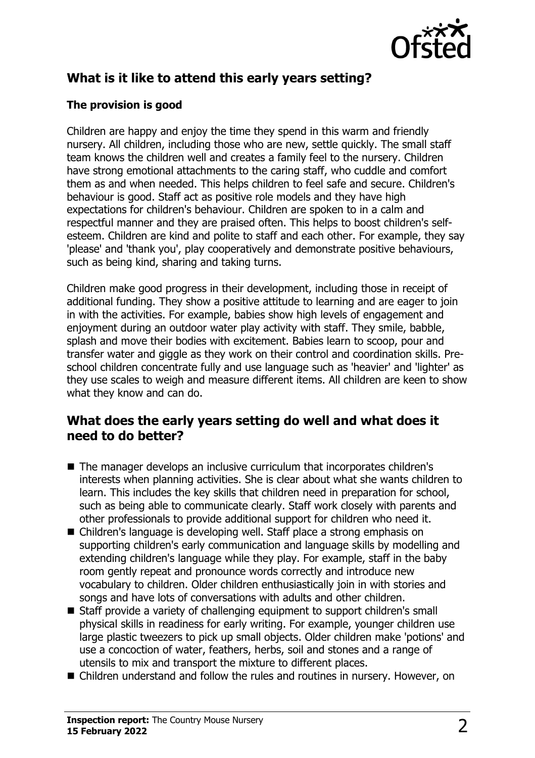

# **What is it like to attend this early years setting?**

#### **The provision is good**

Children are happy and enjoy the time they spend in this warm and friendly nursery. All children, including those who are new, settle quickly. The small staff team knows the children well and creates a family feel to the nursery. Children have strong emotional attachments to the caring staff, who cuddle and comfort them as and when needed. This helps children to feel safe and secure. Children's behaviour is good. Staff act as positive role models and they have high expectations for children's behaviour. Children are spoken to in a calm and respectful manner and they are praised often. This helps to boost children's selfesteem. Children are kind and polite to staff and each other. For example, they say 'please' and 'thank you', play cooperatively and demonstrate positive behaviours, such as being kind, sharing and taking turns.

Children make good progress in their development, including those in receipt of additional funding. They show a positive attitude to learning and are eager to join in with the activities. For example, babies show high levels of engagement and enjoyment during an outdoor water play activity with staff. They smile, babble, splash and move their bodies with excitement. Babies learn to scoop, pour and transfer water and giggle as they work on their control and coordination skills. Preschool children concentrate fully and use language such as 'heavier' and 'lighter' as they use scales to weigh and measure different items. All children are keen to show what they know and can do.

#### **What does the early years setting do well and what does it need to do better?**

- The manager develops an inclusive curriculum that incorporates children's interests when planning activities. She is clear about what she wants children to learn. This includes the key skills that children need in preparation for school, such as being able to communicate clearly. Staff work closely with parents and other professionals to provide additional support for children who need it.
- Children's language is developing well. Staff place a strong emphasis on supporting children's early communication and language skills by modelling and extending children's language while they play. For example, staff in the baby room gently repeat and pronounce words correctly and introduce new vocabulary to children. Older children enthusiastically join in with stories and songs and have lots of conversations with adults and other children.
- Staff provide a variety of challenging equipment to support children's small physical skills in readiness for early writing. For example, younger children use large plastic tweezers to pick up small objects. Older children make 'potions' and use a concoction of water, feathers, herbs, soil and stones and a range of utensils to mix and transport the mixture to different places.
- Children understand and follow the rules and routines in nursery. However, on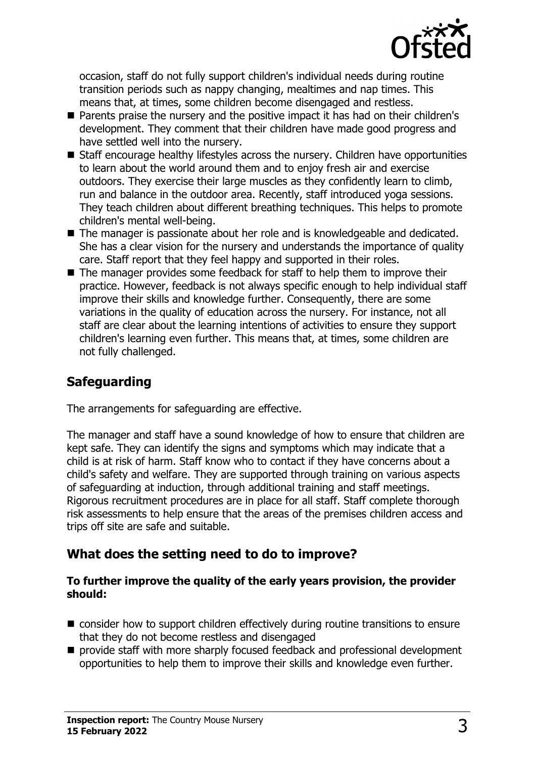

occasion, staff do not fully support children's individual needs during routine transition periods such as nappy changing, mealtimes and nap times. This means that, at times, some children become disengaged and restless.

- Parents praise the nursery and the positive impact it has had on their children's development. They comment that their children have made good progress and have settled well into the nursery.
- Staff encourage healthy lifestyles across the nursery. Children have opportunities to learn about the world around them and to enjoy fresh air and exercise outdoors. They exercise their large muscles as they confidently learn to climb, run and balance in the outdoor area. Recently, staff introduced yoga sessions. They teach children about different breathing techniques. This helps to promote children's mental well-being.
- The manager is passionate about her role and is knowledgeable and dedicated. She has a clear vision for the nursery and understands the importance of quality care. Staff report that they feel happy and supported in their roles.
- $\blacksquare$  The manager provides some feedback for staff to help them to improve their practice. However, feedback is not always specific enough to help individual staff improve their skills and knowledge further. Consequently, there are some variations in the quality of education across the nursery. For instance, not all staff are clear about the learning intentions of activities to ensure they support children's learning even further. This means that, at times, some children are not fully challenged.

# **Safeguarding**

The arrangements for safeguarding are effective.

The manager and staff have a sound knowledge of how to ensure that children are kept safe. They can identify the signs and symptoms which may indicate that a child is at risk of harm. Staff know who to contact if they have concerns about a child's safety and welfare. They are supported through training on various aspects of safeguarding at induction, through additional training and staff meetings. Rigorous recruitment procedures are in place for all staff. Staff complete thorough risk assessments to help ensure that the areas of the premises children access and trips off site are safe and suitable.

### **What does the setting need to do to improve?**

#### **To further improve the quality of the early years provision, the provider should:**

- $\blacksquare$  consider how to support children effectively during routine transitions to ensure that they do not become restless and disengaged
- $\blacksquare$  provide staff with more sharply focused feedback and professional development opportunities to help them to improve their skills and knowledge even further.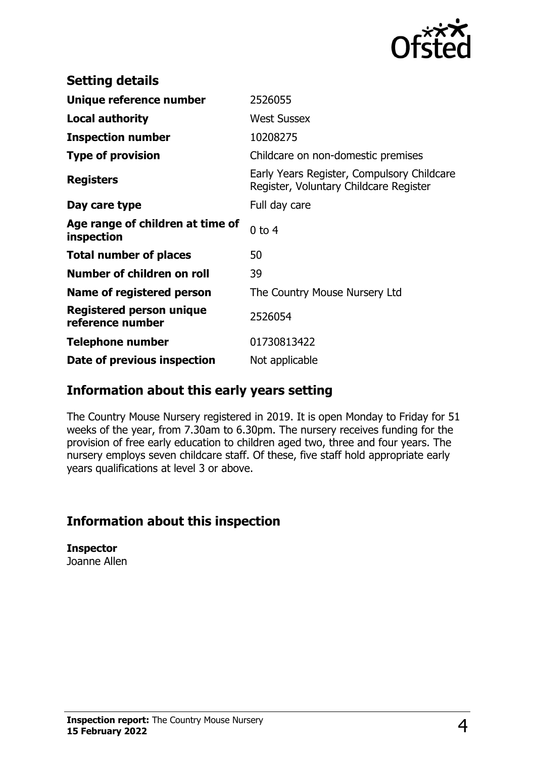

| <b>Setting details</b>                         |                                                                                      |
|------------------------------------------------|--------------------------------------------------------------------------------------|
| Unique reference number                        | 2526055                                                                              |
| <b>Local authority</b>                         | <b>West Sussex</b>                                                                   |
| <b>Inspection number</b>                       | 10208275                                                                             |
| <b>Type of provision</b>                       | Childcare on non-domestic premises                                                   |
| <b>Registers</b>                               | Early Years Register, Compulsory Childcare<br>Register, Voluntary Childcare Register |
| Day care type                                  | Full day care                                                                        |
| Age range of children at time of<br>inspection | $0$ to $4$                                                                           |
| <b>Total number of places</b>                  | 50                                                                                   |
| Number of children on roll                     | 39                                                                                   |
| Name of registered person                      | The Country Mouse Nursery Ltd                                                        |
| Registered person unique<br>reference number   | 2526054                                                                              |
| <b>Telephone number</b>                        | 01730813422                                                                          |
| Date of previous inspection                    | Not applicable                                                                       |

### **Information about this early years setting**

The Country Mouse Nursery registered in 2019. It is open Monday to Friday for 51 weeks of the year, from 7.30am to 6.30pm. The nursery receives funding for the provision of free early education to children aged two, three and four years. The nursery employs seven childcare staff. Of these, five staff hold appropriate early years qualifications at level 3 or above.

# **Information about this inspection**

**Inspector** Joanne Allen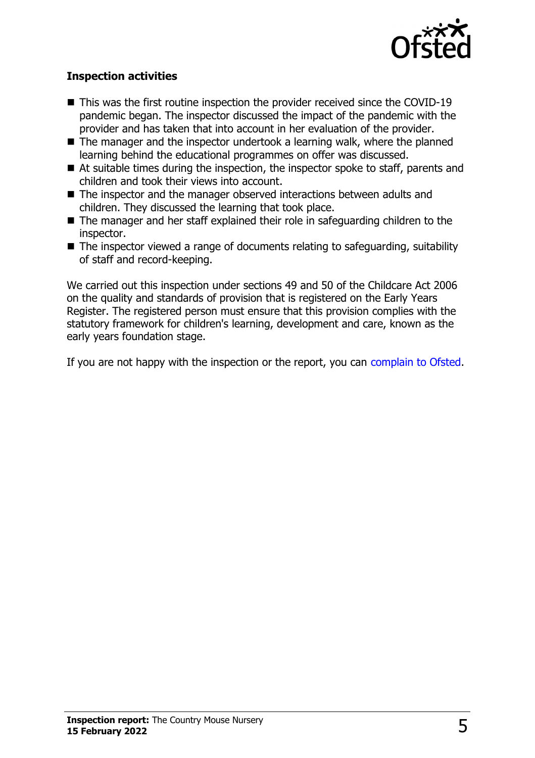

#### **Inspection activities**

- $\blacksquare$  This was the first routine inspection the provider received since the COVID-19 pandemic began. The inspector discussed the impact of the pandemic with the provider and has taken that into account in her evaluation of the provider.
- $\blacksquare$  The manager and the inspector undertook a learning walk, where the planned learning behind the educational programmes on offer was discussed.
- $\blacksquare$  At suitable times during the inspection, the inspector spoke to staff, parents and children and took their views into account.
- $\blacksquare$  The inspector and the manager observed interactions between adults and children. They discussed the learning that took place.
- $\blacksquare$  The manager and her staff explained their role in safeguarding children to the inspector.
- $\blacksquare$  The inspector viewed a range of documents relating to safeguarding, suitability of staff and record-keeping.

We carried out this inspection under sections 49 and 50 of the Childcare Act 2006 on the quality and standards of provision that is registered on the Early Years Register. The registered person must ensure that this provision complies with the statutory framework for children's learning, development and care, known as the early years foundation stage.

If you are not happy with the inspection or the report, you can [complain to Ofsted](http://www.gov.uk/complain-ofsted-report).